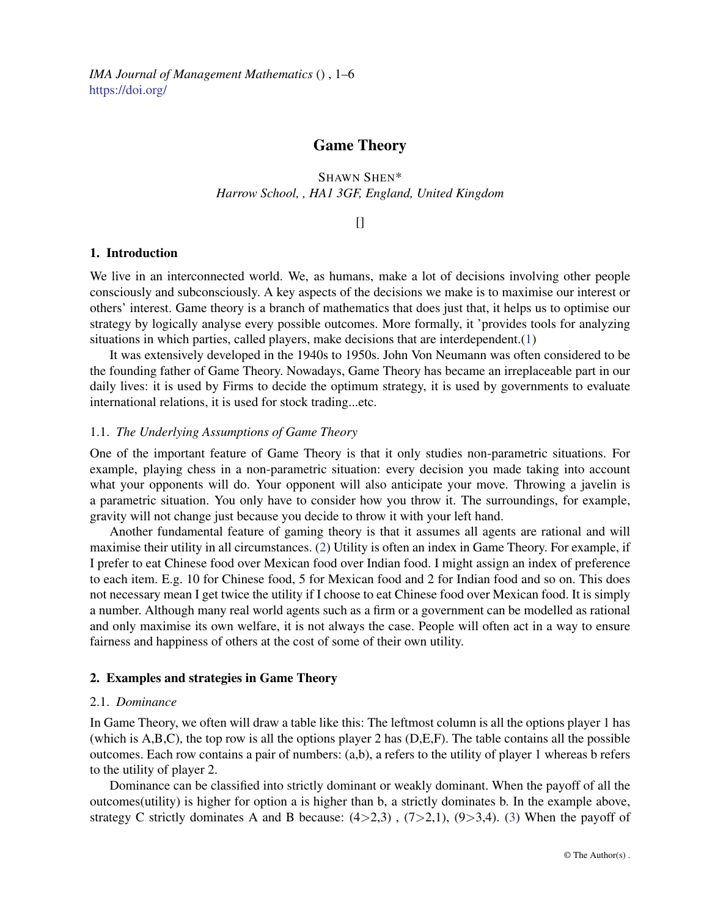*IMA Journal of Management Mathematics* () , 1–6 <https://doi.org/>

# Game Theory

## SHAWN SHEN\* *Harrow School, , HA1 3GF, England, United Kingdom*

 $\prod$ 

## 1. Introduction

We live in an interconnected world. We, as humans, make a lot of decisions involving other people consciously and subconsciously. A key aspects of the decisions we make is to maximise our interest or others' interest. Game theory is a branch of mathematics that does just that, it helps us to optimise our strategy by logically analyse every possible outcomes. More formally, it 'provides tools for analyzing situations in which parties, called players, make decisions that are interdependent.[\(1\)](#page-5-0)

It was extensively developed in the 1940s to 1950s. John Von Neumann was often considered to be the founding father of Game Theory. Nowadays, Game Theory has became an irreplaceable part in our daily lives: it is used by Firms to decide the optimum strategy, it is used by governments to evaluate international relations, it is used for stock trading...etc.

## 1.1. *The Underlying Assumptions of Game Theory*

One of the important feature of Game Theory is that it only studies non-parametric situations. For example, playing chess in a non-parametric situation: every decision you made taking into account what your opponents will do. Your opponent will also anticipate your move. Throwing a javelin is a parametric situation. You only have to consider how you throw it. The surroundings, for example, gravity will not change just because you decide to throw it with your left hand.

Another fundamental feature of gaming theory is that it assumes all agents are rational and will maximise their utility in all circumstances. [\(2\)](#page-5-1) Utility is often an index in Game Theory. For example, if I prefer to eat Chinese food over Mexican food over Indian food. I might assign an index of preference to each item. E.g. 10 for Chinese food, 5 for Mexican food and 2 for Indian food and so on. This does not necessary mean I get twice the utility if I choose to eat Chinese food over Mexican food. It is simply a number. Although many real world agents such as a firm or a government can be modelled as rational and only maximise its own welfare, it is not always the case. People will often act in a way to ensure fairness and happiness of others at the cost of some of their own utility.

#### 2. Examples and strategies in Game Theory

#### 2.1. *Dominance*

In Game Theory, we often will draw a table like this: The leftmost column is all the options player 1 has (which is A,B,C), the top row is all the options player 2 has (D,E,F). The table contains all the possible outcomes. Each row contains a pair of numbers: (a,b), a refers to the utility of player 1 whereas b refers to the utility of player 2.

Dominance can be classified into strictly dominant or weakly dominant. When the payoff of all the outcomes(utility) is higher for option a is higher than b, a strictly dominates b. In the example above, strategy C strictly dominates A and B because:  $(4>2,3)$ ,  $(7>2,1)$ ,  $(9>3,4)$ . [\(3\)](#page-5-2) When the payoff of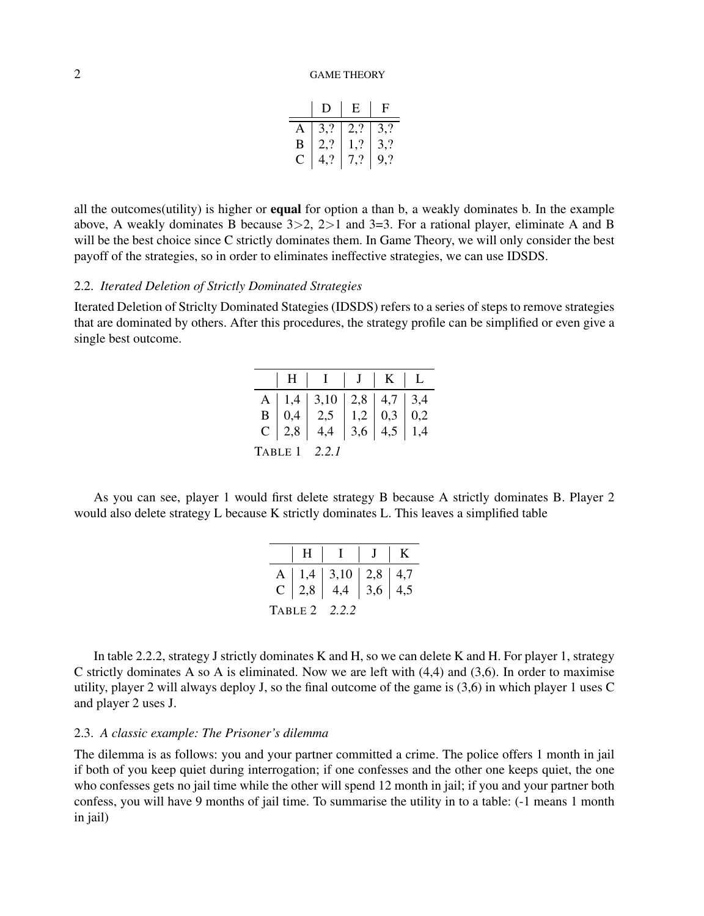|   | I)   | E                                                                                           | Ĥ.   |
|---|------|---------------------------------------------------------------------------------------------|------|
|   |      |                                                                                             |      |
| В |      | 3,? $\begin{array}{ c c c }\n 3,2 & 3,2 \\ 2,2 & 1,2 & 3,2 \\ 4,2 & 7,2 & 0,3\n\end{array}$ |      |
| C | 4, ? | 1, 7, ?                                                                                     | 9, ? |

all the outcomes(utility) is higher or equal for option a than b, a weakly dominates b. In the example above, A weakly dominates B because  $3>2$ ,  $2>1$  and  $3=3$ . For a rational player, eliminate A and B will be the best choice since C strictly dominates them. In Game Theory, we will only consider the best payoff of the strategies, so in order to eliminates ineffective strategies, we can use IDSDS.

#### 2.2. *Iterated Deletion of Strictly Dominated Strategies*

Iterated Deletion of Striclty Dominated Stategies (IDSDS) refers to a series of steps to remove strategies that are dominated by others. After this procedures, the strategy profile can be simplified or even give a single best outcome.

|  | A   1,4   3,10   2,8   4,7   3,4<br>B   0,4   2,5   1,2   0,3   0,2<br>C   2,8   4,4   3,6   4,5   1,4 |  |  |
|--|--------------------------------------------------------------------------------------------------------|--|--|
|  |                                                                                                        |  |  |
|  |                                                                                                        |  |  |
|  | TABLE 1 2.2.1                                                                                          |  |  |

As you can see, player 1 would first delete strategy B because A strictly dominates B. Player 2 would also delete strategy L because K strictly dominates L. This leaves a simplified table

|  | $H \mid I \mid J \mid K$                                |  |
|--|---------------------------------------------------------|--|
|  | A   1,4   3,10   2,8   4,7<br>C   2,8   4,4   3,6   4,5 |  |
|  |                                                         |  |
|  | TABLE 2 2.2.2                                           |  |

In table 2.2.2, strategy J strictly dominates K and H, so we can delete K and H. For player 1, strategy C strictly dominates A so A is eliminated. Now we are left with  $(4,4)$  and  $(3,6)$ . In order to maximise utility, player 2 will always deploy J, so the final outcome of the game is (3,6) in which player 1 uses C and player 2 uses J.

#### 2.3. *A classic example: The Prisoner's dilemma*

The dilemma is as follows: you and your partner committed a crime. The police offers 1 month in jail if both of you keep quiet during interrogation; if one confesses and the other one keeps quiet, the one who confesses gets no jail time while the other will spend 12 month in jail; if you and your partner both confess, you will have 9 months of jail time. To summarise the utility in to a table: (-1 means 1 month in jail)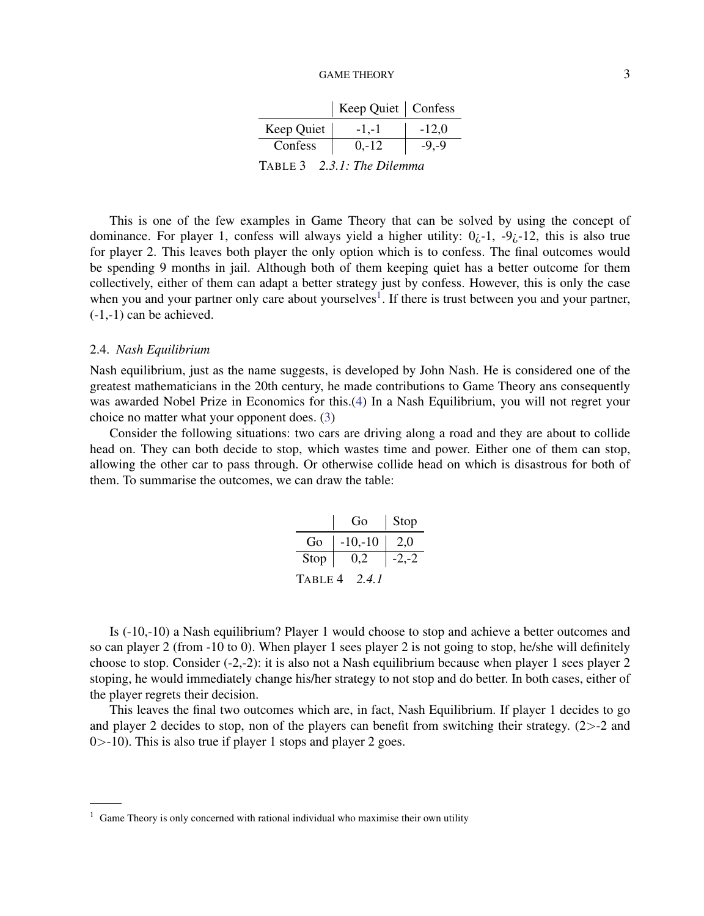|                                             | Keep Quiet   Confess |          |
|---------------------------------------------|----------------------|----------|
| Keep Quiet                                  | $-1,-1$              | $-12.0$  |
| Confess                                     | $0, -12$             | $-9, -9$ |
| $2.2 L.$ The Dilemma<br>$T_{\text{ADIT}}$ 2 |                      |          |

TABLE 3 *2.3.1: The Dilemma*

This is one of the few examples in Game Theory that can be solved by using the concept of dominance. For player 1, confess will always yield a higher utility:  $0<sub>i</sub>$ -1, -9 $<sub>i</sub>$ -12, this is also true</sub> for player 2. This leaves both player the only option which is to confess. The final outcomes would be spending 9 months in jail. Although both of them keeping quiet has a better outcome for them collectively, either of them can adapt a better strategy just by confess. However, this is only the case when you and your partner only care about yourselves<sup>[1](#page-2-0)</sup>. If there is trust between you and your partner,  $(-1,-1)$  can be achieved.

#### 2.4. *Nash Equilibrium*

Nash equilibrium, just as the name suggests, is developed by John Nash. He is considered one of the greatest mathematicians in the 20th century, he made contributions to Game Theory ans consequently was awarded Nobel Prize in Economics for this.[\(4\)](#page-5-3) In a Nash Equilibrium, you will not regret your choice no matter what your opponent does. [\(3\)](#page-5-2)

Consider the following situations: two cars are driving along a road and they are about to collide head on. They can both decide to stop, which wastes time and power. Either one of them can stop, allowing the other car to pass through. Or otherwise collide head on which is disastrous for both of them. To summarise the outcomes, we can draw the table:

|                  | Go.         | Stop    |  |
|------------------|-------------|---------|--|
| Go               | $  -10,-10$ | - 2,0   |  |
| $Stop \mid$      | 0,2         | $-2,-2$ |  |
| TABLE 4<br>2.4.1 |             |         |  |

Is (-10,-10) a Nash equilibrium? Player 1 would choose to stop and achieve a better outcomes and so can player 2 (from -10 to 0). When player 1 sees player 2 is not going to stop, he/she will definitely choose to stop. Consider (-2,-2): it is also not a Nash equilibrium because when player 1 sees player 2 stoping, he would immediately change his/her strategy to not stop and do better. In both cases, either of the player regrets their decision.

This leaves the final two outcomes which are, in fact, Nash Equilibrium. If player 1 decides to go and player 2 decides to stop, non of the players can benefit from switching their strategy. (2>-2 and 0>-10). This is also true if player 1 stops and player 2 goes.

<span id="page-2-0"></span> $1$  Game Theory is only concerned with rational individual who maximise their own utility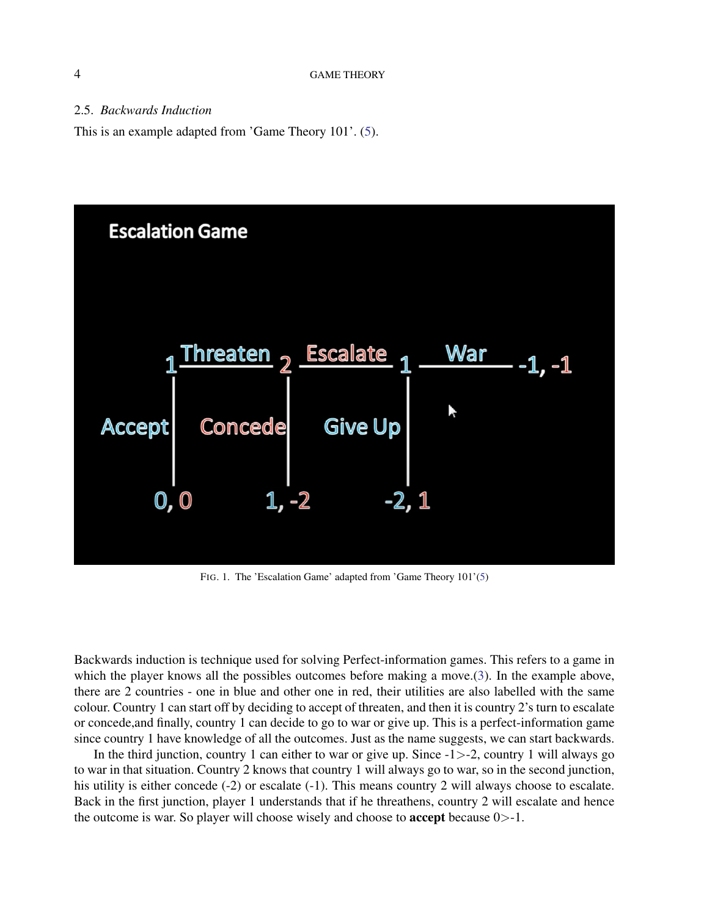### 2.5. *Backwards Induction*

This is an example adapted from 'Game Theory 101'. [\(5\)](#page-5-4).



FIG. 1. The 'Escalation Game' adapted from 'Game Theory 101'[\(5\)](#page-5-4)

Backwards induction is technique used for solving Perfect-information games. This refers to a game in which the player knows all the possibles outcomes before making a move.[\(3\)](#page-5-2). In the example above, there are 2 countries - one in blue and other one in red, their utilities are also labelled with the same colour. Country 1 can start off by deciding to accept of threaten, and then it is country 2's turn to escalate or concede,and finally, country 1 can decide to go to war or give up. This is a perfect-information game since country 1 have knowledge of all the outcomes. Just as the name suggests, we can start backwards.

In the third junction, country 1 can either to war or give up. Since -1>-2, country 1 will always go to war in that situation. Country 2 knows that country 1 will always go to war, so in the second junction, his utility is either concede (-2) or escalate (-1). This means country 2 will always choose to escalate. Back in the first junction, player 1 understands that if he threathens, country 2 will escalate and hence the outcome is war. So player will choose wisely and choose to accept because 0>-1.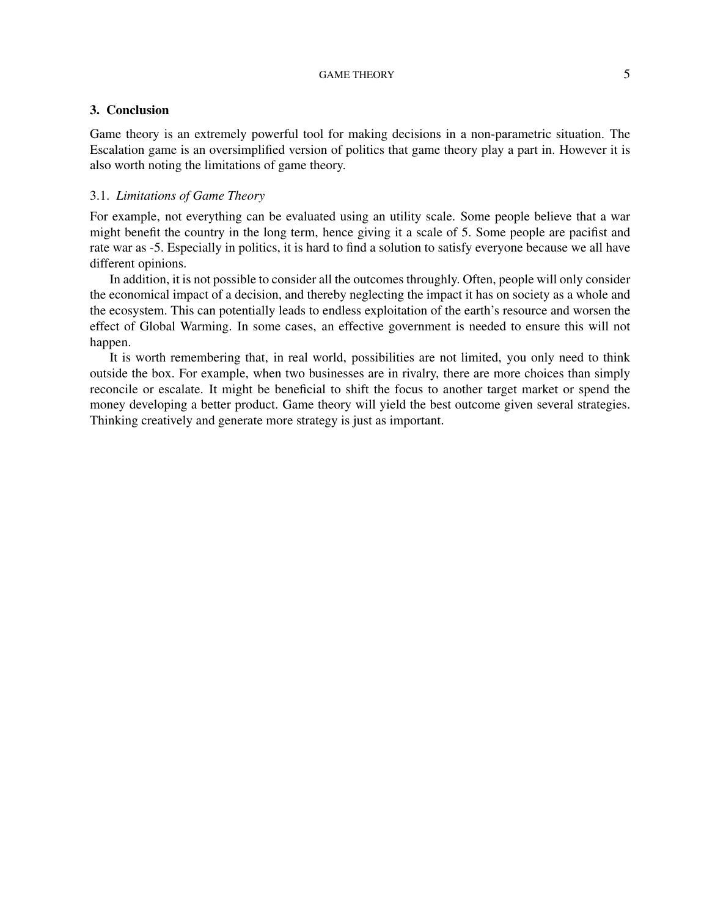## 3. Conclusion

Game theory is an extremely powerful tool for making decisions in a non-parametric situation. The Escalation game is an oversimplified version of politics that game theory play a part in. However it is also worth noting the limitations of game theory.

## 3.1. *Limitations of Game Theory*

For example, not everything can be evaluated using an utility scale. Some people believe that a war might benefit the country in the long term, hence giving it a scale of 5. Some people are pacifist and rate war as -5. Especially in politics, it is hard to find a solution to satisfy everyone because we all have different opinions.

In addition, it is not possible to consider all the outcomes throughly. Often, people will only consider the economical impact of a decision, and thereby neglecting the impact it has on society as a whole and the ecosystem. This can potentially leads to endless exploitation of the earth's resource and worsen the effect of Global Warming. In some cases, an effective government is needed to ensure this will not happen.

It is worth remembering that, in real world, possibilities are not limited, you only need to think outside the box. For example, when two businesses are in rivalry, there are more choices than simply reconcile or escalate. It might be beneficial to shift the focus to another target market or spend the money developing a better product. Game theory will yield the best outcome given several strategies. Thinking creatively and generate more strategy is just as important.